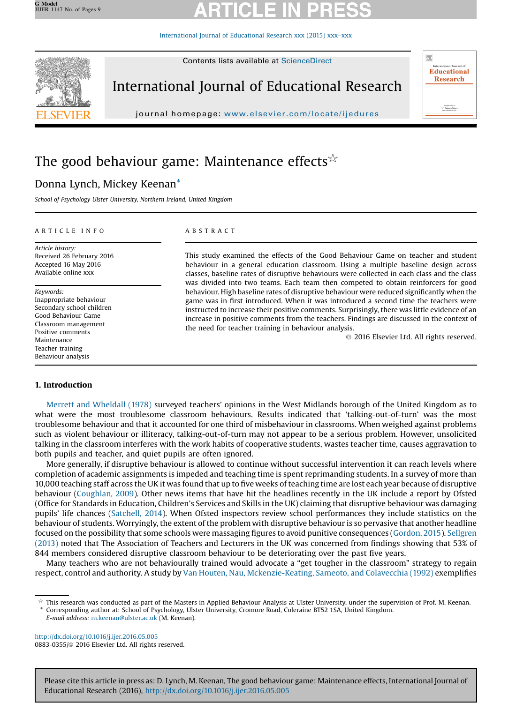[International Journal of Educational Research xxx \(2015\) xxx](http://dx.doi.org/10.1016/j.ijer.2016.05.005)–xxx



Contents lists available at [ScienceDirect](http://www.sciencedirect.com/science/journal/08830355)

International Journal of Educational Research

journal homepage: <www.elsevier.com/locate/ijedures>



## The good behaviour game: Maintenance effects  $\frac{1}{2}$

### Donna Lynch, Mickey Keenan\*

School of Psychology Ulster University, Northern Ireland, United Kingdom

### ARTICLE INFO

Article history: Received 26 February 2016 Accepted 16 May 2016 Available online xxx

Keywords: Inappropriate behaviour Secondary school children Good Behaviour Game Classroom management Positive comments Maintenance Teacher training Behaviour analysis

### ABSTRACT

This study examined the effects of the Good Behaviour Game on teacher and student behaviour in a general education classroom. Using a multiple baseline design across classes, baseline rates of disruptive behaviours were collected in each class and the class was divided into two teams. Each team then competed to obtain reinforcers for good behaviour. High baseline rates of disruptive behaviour were reduced significantly when the game was in first introduced. When it was introduced a second time the teachers were instructed to increase their positive comments. Surprisingly, there was little evidence of an increase in positive comments from the teachers. Findings are discussed in the context of the need for teacher training in behaviour analysis.

ã 2016 Elsevier Ltd. All rights reserved.

### 1. Introduction

[Merrett and Wheldall \(1978\)](#page--1-0) surveyed teachers' opinions in the West Midlands borough of the United Kingdom as to what were the most troublesome classroom behaviours. Results indicated that 'talking-out-of-turn' was the most troublesome behaviour and that it accounted for one third of misbehaviour in classrooms. When weighed against problems such as violent behaviour or illiteracy, talking-out-of-turn may not appear to be a serious problem. However, unsolicited talking in the classroom interferes with the work habits of cooperative students, wastes teacher time, causes aggravation to both pupils and teacher, and quiet pupils are often ignored.

More generally, if disruptive behaviour is allowed to continue without successful intervention it can reach levels where completion of academic assignments is impeded and teaching time is spent reprimanding students. In a survey of more than 10,000 teaching staff across the UK it was found that up to five weeks of teaching time are lost each year because of disruptive behaviour [\(Coughlan, 2009](#page--1-0)). Other news items that have hit the headlines recently in the UK include a report by Ofsted (Office for Standards in Education, Children's Services and Skills in the UK) claiming that disruptive behaviour was damaging pupils' life chances ([Satchell, 2014](#page--1-0)). When Ofsted inspectors review school performances they include statistics on the behaviour of students. Worryingly, the extent of the problem with disruptive behaviour is so pervasive that another headline focused on the possibility that some schools were massaging figures to avoid punitive consequences ([Gordon, 2015](#page--1-0)). [Sellgren](#page--1-0) [\(2013\)](#page--1-0) noted that The Association of Teachers and Lecturers in the UK was concerned from findings showing that 53% of 844 members considered disruptive classroom behaviour to be deteriorating over the past five years.

Many teachers who are not behaviourally trained would advocate a "get tougher in the classroom" strategy to regain respect, control and authority. A study by [Van Houten, Nau, Mckenzie-Keating, Sameoto, and Colavecchia \(1992\)](#page--1-0) exemplifies

\* Corresponding author at: School of Psychology, Ulster University, Cromore Road, Coleraine BT52 1SA, United Kingdom.

E-mail address: [m.keenan@ulster.ac.uk](mailto:m.keenan@ulster.ac.uk) (M. Keenan).

<http://dx.doi.org/10.1016/j.ijer.2016.05.005> 0883-0355/© 2016 Elsevier Ltd. All rights reserved.

Please cite this article in press as: D. Lynch, M. Keenan, The good behaviour game: Maintenance effects, International Journal of Educational Research (2016), <http://dx.doi.org/10.1016/j.ijer.2016.05.005>

 $*$  This research was conducted as part of the Masters in Applied Behaviour Analysis at Ulster University, under the supervision of Prof. M. Keenan.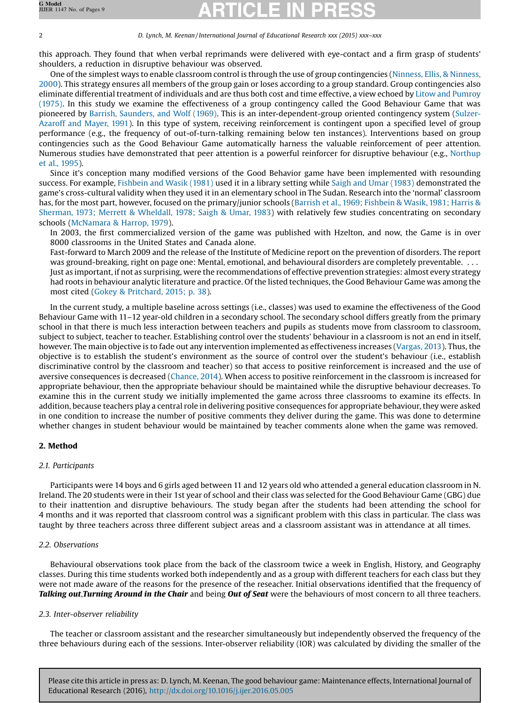2 D. Lynch, M. Keenan / International Journal of Educational Research xxx (2015) xxx–xxx

this approach. They found that when verbal reprimands were delivered with eye-contact and a firm grasp of students' shoulders, a reduction in disruptive behaviour was observed.

One of the simplest ways to enable classroom control is through the use of group contingencies [\(Ninness, Ellis, & Ninness,](#page--1-0) [2000](#page--1-0)). This strategy ensures all members of the group gain or loses according to a group standard. Group contingencies also eliminate differential treatment of individuals and are thus both cost and time effective, a view echoed by [Litow and Pumroy](#page--1-0) [\(1975\).](#page--1-0) In this study we examine the effectiveness of a group contingency called the Good Behaviour Game that was pioneered by [Barrish, Saunders, and Wolf \(1969\).](#page--1-0) This is an inter-dependent-group oriented contingency system ([Sulzer-](#page--1-0)Azaroff [and Mayer, 1991](#page--1-0)). In this type of system, receiving reinforcement is contingent upon a specified level of group performance (e.g., the frequency of out-of-turn-talking remaining below ten instances). Interventions based on group contingencies such as the Good Behaviour Game automatically harness the valuable reinforcement of peer attention. Numerous studies have demonstrated that peer attention is a powerful reinforcer for disruptive behaviour (e.g., [Northup](#page--1-0) [et al., 1995](#page--1-0)).

Since it's conception many modified versions of the Good Behavior game have been implemented with resounding success. For example, [Fishbein and Wasik \(1981\)](#page--1-0) used it in a library setting while [Saigh and Umar \(1983\)](#page--1-0) demonstrated the game's cross-cultural validity when they used it in an elementary school in The Sudan. Research into the 'normal' classroom has, for the most part, however, focused on the primary/junior schools ([Barrish et al., 1969; Fishbein & Wasik, 1981; Harris &](#page--1-0) [Sherman, 1973; Merrett & Wheldall, 1978; Saigh & Umar, 1983](#page--1-0)) with relatively few studies concentrating on secondary schools [\(McNamara & Harrop, 1979\)](#page--1-0).

In 2003, the first commercialized version of the game was published with Hzelton, and now, the Game is in over 8000 classrooms in the United States and Canada alone.

Fast-forward to March 2009 and the release of the Institute of Medicine report on the prevention of disorders. The report was ground-breaking, right on page one: Mental, emotional, and behavioural disorders are completely preventable. . . . Just as important, if not as surprising, were the recommendations of effective prevention strategies: almost every strategy had roots in behaviour analytic literature and practice. Of the listed techniques, the Good Behaviour Game was among the most cited ([Gokey & Pritchard, 2015; p. 38](#page--1-0)).

In the current study, a multiple baseline across settings (i.e., classes) was used to examine the effectiveness of the Good Behaviour Game with 11–12 year-old children in a secondary school. The secondary school differs greatly from the primary school in that there is much less interaction between teachers and pupils as students move from classroom to classroom, subject to subject, teacher to teacher. Establishing control over the students' behaviour in a classroom is not an end in itself, however. The main objective is to fade out any intervention implemented as effectiveness increases [\(Vargas, 2013](#page--1-0)). Thus, the objective is to establish the student's environment as the source of control over the student's behaviour (i.e., establish discriminative control by the classroom and teacher) so that access to positive reinforcement is increased and the use of aversive consequences is decreased [\(Chance, 2014](#page--1-0)). When access to positive reinforcement in the classroom is increased for appropriate behaviour, then the appropriate behaviour should be maintained while the disruptive behaviour decreases. To examine this in the current study we initially implemented the game across three classrooms to examine its effects. In addition, because teachers play a central role in delivering positive consequences for appropriate behaviour, they were asked in one condition to increase the number of positive comments they deliver during the game. This was done to determine whether changes in student behaviour would be maintained by teacher comments alone when the game was removed.

### 2. Method

### 2.1. Participants

Participants were 14 boys and 6 girls aged between 11 and 12 years old who attended a general education classroom in N. Ireland. The 20 students were in their 1st year of school and their class was selected for the Good Behaviour Game (GBG) due to their inattention and disruptive behaviours. The study began after the students had been attending the school for 4 months and it was reported that classroom control was a significant problem with this class in particular. The class was taught by three teachers across three different subject areas and a classroom assistant was in attendance at all times.

### 2.2. Observations

Behavioural observations took place from the back of the classroom twice a week in English, History, and Geography classes. During this time students worked both independently and as a group with different teachers for each class but they were not made aware of the reasons for the presence of the reseacher. Initial observations identified that the frequency of Talking out, Turning Around in the Chair and being Out of Seat were the behaviours of most concern to all three teachers.

### 2.3. Inter-observer reliability

The teacher or classroom assistant and the researcher simultaneously but independently observed the frequency of the three behaviours during each of the sessions. Inter-observer reliability (IOR) was calculated by dividing the smaller of the

Please cite this article in press as: D. Lynch, M. Keenan, The good behaviour game: Maintenance effects, International Journal of Educational Research (2016), <http://dx.doi.org/10.1016/j.ijer.2016.05.005>